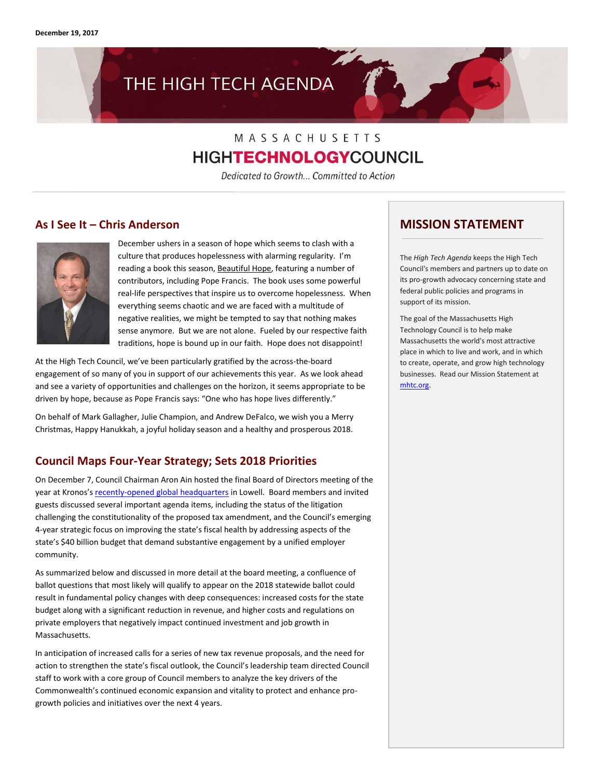# THE HIGH TECH AGENDA

# MASSACHUSETTS **HIGHTECHNOLOGY**COUNCIL

Dedicated to Growth... Committed to Action

#### **As I See It – Chris Anderson**



December ushers in a season of hope which seems to clash with a culture that produces hopelessness with alarming regularity. I'm reading a book this season, Beautiful Hope, featuring a number of contributors, including Pope Francis. The book uses some powerful real-life perspectives that inspire us to overcome hopelessness. When everything seems chaotic and we are faced with a multitude of negative realities, we might be tempted to say that nothing makes sense anymore. But we are not alone. Fueled by our respective faith traditions, hope is bound up in our faith. Hope does not disappoint!

At the High Tech Council, we've been particularly gratified by the across-the-board engagement of so many of you in support of our achievements this year. As we look ahead and see a variety of opportunities and challenges on the horizon, it seems appropriate to be driven by hope, because as Pope Francis says: "One who has hope lives differently."

On behalf of Mark Gallagher, Julie Champion, and Andrew DeFalco, we wish you a Merry Christmas, Happy Hanukkah, a joyful holiday season and a healthy and prosperous 2018.

#### **Council Maps Four-Year Strategy; Sets 2018 Priorities**

On December 7, Council Chairman Aron Ain hosted the final Board of Directors meeting of the year at Kronos's [recently-opened global headquarters](https://www.kronos.com/about-us/newsroom/open-business-kronos-celebrates-40-years-innovation-grand-opening-500000-sq-ft) in Lowell. Board members and invited guests discussed several important agenda items, including the status of the litigation challenging the constitutionality of the proposed tax amendment, and the Council's emerging 4-year strategic focus on improving the state's fiscal health by addressing aspects of the state's \$40 billion budget that demand substantive engagement by a unified employer community.

As summarized below and discussed in more detail at the board meeting, a confluence of ballot questions that most likely will qualify to appear on the 2018 statewide ballot could result in fundamental policy changes with deep consequences: increased costs for the state budget along with a significant reduction in revenue, and higher costs and regulations on private employers that negatively impact continued investment and job growth in Massachusetts.

In anticipation of increased calls for a series of new tax revenue proposals, and the need for action to strengthen the state's fiscal outlook, the Council's leadership team directed Council staff to work with a core group of Council members to analyze the key drivers of the Commonwealth's continued economic expansion and vitality to protect and enhance progrowth policies and initiatives over the next 4 years.

#### **MISSION STATEMENT**

The *High Tech Agenda* keeps the High Tech Council's members and partners up to date on its pro-growth advocacy concerning state and federal public policies and programs in support of its mission.

The goal of the Massachusetts High Technology Council is to help make Massachusetts the world's most attractive place in which to live and work, and in which to create, operate, and grow high technology businesses. Read our Mission Statement at [mhtc.org.](http://www.mhtc.org/)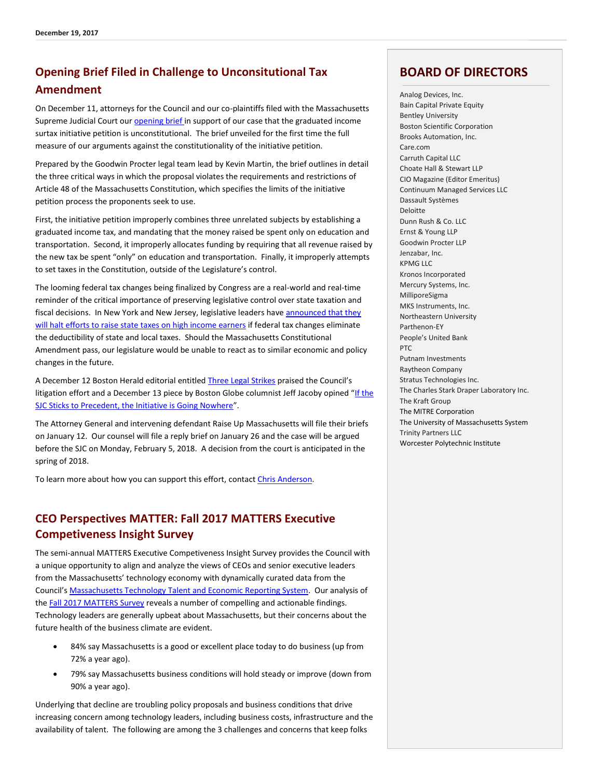## **Opening Brief Filed in Challenge to Unconsitutional Tax Amendment**

On December 11, attorneys for the Council and our co-plaintiffs filed with the Massachusetts Supreme Judicial Court ou[r opening brief](http://www.mhtc.org/wp-content/uploads/2017/12/Anderson-v.-Healey-Final-Opening-Brief.pdf) in support of our case that the graduated income surtax initiative petition is unconstitutional. The brief unveiled for the first time the full measure of our arguments against the constitutionality of the initiative petition.

Prepared by the Goodwin Procter legal team lead by Kevin Martin, the brief outlines in detail the three critical ways in which the proposal violates the requirements and restrictions of Article 48 of the Massachusetts Constitution, which specifies the limits of the initiative petition process the proponents seek to use.

First, the initiative petition improperly combines three unrelated subjects by establishing a graduated income tax, and mandating that the money raised be spent only on education and transportation. Second, it improperly allocates funding by requiring that all revenue raised by the new tax be spent "only" on education and transportation. Finally, it improperly attempts to set taxes in the Constitution, outside of the Legislature's control.

The looming federal tax changes being finalized by Congress are a real-world and real-time reminder of the critical importance of preserving legislative control over state taxation and fiscal decisions. In New York and New Jersey, legislative leaders have announced that they [will halt efforts to raise state taxes on high income earners](http://www.nydailynews.com/news/politics/n-y-millionaire-tax-hike-drop-trump-bill-passes-article-1.3690749) if federal tax changes eliminate the deductibility of state and local taxes. Should the Massachusetts Constitutional Amendment pass, our legislature would be unable to react as to similar economic and policy changes in the future.

A December 12 Boston Herald editorial entitle[d Three Legal Strikes](http://www.mhtc.org/editorial-three-legal-strikes/) praised the Council's litigation effort and a December 13 piece by Boston Globe columnist Jeff Jacoby opined "If the [SJC Sticks to Precedent, the Initiative is Going Nowhere](http://www.mhtc.org/wp-content/uploads/2017/12/BostonGlobe_IfSJCStickstoPrecedent_12132017.pdf)".

The Attorney General and intervening defendant Raise Up Massachusetts will file their briefs on January 12. Our counsel will file a reply brief on January 26 and the case will be argued before the SJC on Monday, February 5, 2018. A decision from the court is anticipated in the spring of 2018.

To learn more about how you can support this effort, contac[t Chris Anderson.](mailto:chris@mhtc.org)

### **CEO Perspectives MATTER: Fall 2017 MATTERS Executive Competiveness Insight Survey**

The semi-annual MATTERS Executive Competiveness Insight Survey provides the Council with a unique opportunity to align and analyze the views of CEOs and senior executive leaders from the Massachusetts' technology economy with dynamically curated data from the Council's [Massachusetts Technology Talent and Economic Reporting System.](http://matters.mhtc.org/) Our analysis of the **Fall 2017 MATTERS Survey** reveals a number of compelling and actionable findings. Technology leaders are generally upbeat about Massachusetts, but their concerns about the future health of the business climate are evident.

- 84% say Massachusetts is a good or excellent place today to do business (up from 72% a year ago).
- 79% say Massachusetts business conditions will hold steady or improve (down from 90% a year ago).

Underlying that decline are troubling policy proposals and business conditions that drive increasing concern among technology leaders, including business costs, infrastructure and the availability of talent. The following are among the 3 challenges and concerns that keep folks

#### **BOARD OF DIRECTORS**

Analog Devices, Inc. Bain Capital Private Equity Bentley University Boston Scientific Corporation Brooks Automation, Inc. Care.com Carruth Capital LLC Choate Hall & Stewart LLP CIO Magazine (Editor Emeritus) Continuum Managed Services LLC Dassault Systèmes Deloitte Dunn Rush & Co. LLC Ernst & Young LLP Goodwin Procter LLP Jenzabar, Inc. KPMG LLC Kronos Incorporated Mercury Systems, Inc. MilliporeSigma MKS Instruments, Inc. Northeastern University Parthenon-EY People's United Bank PTC Putnam Investments Raytheon Company Stratus Technologies Inc. The Charles Stark Draper Laboratory Inc. The Kraft Group The MITRE Corporation The University of Massachusetts System Trinity Partners LLC Worcester Polytechnic Institute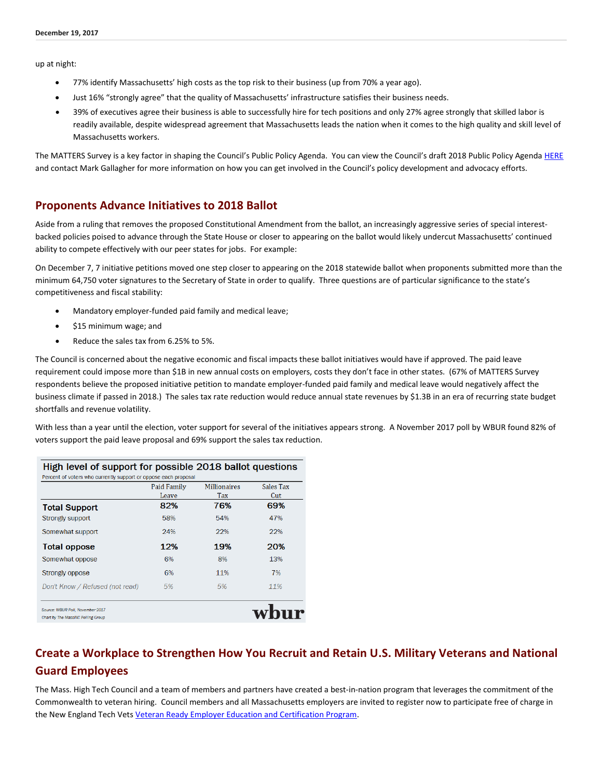up at night:

- 77% identify Massachusetts' high costs as the top risk to their business (up from 70% a year ago).
- Just 16% "strongly agree" that the quality of Massachusetts' infrastructure satisfies their business needs.
- 39% of executives agree their business is able to successfully hire for tech positions and only 27% agree strongly that skilled labor is readily available, despite widespread agreement that Massachusetts leads the nation when it comes to the high quality and skill level of Massachusetts workers.

The MATTERS Survey is a key factor in shaping the Council's Public Policy Agenda. You can view the Council's draft 2018 Public Policy Agenda [HERE](http://www.mhtc.org/wp-content/uploads/2017/12/DRAFT-2018-Policy-Agenda-12.13.17.pdf) and contact Mark Gallagher for more information on how you can get involved in the Council's policy development and advocacy efforts.

#### **Proponents Advance Initiatives to 2018 Ballot**

Aside from a ruling that removes the proposed Constitutional Amendment from the ballot, an increasingly aggressive series of special interestbacked policies poised to advance through the State House or closer to appearing on the ballot would likely undercut Massachusetts' continued ability to compete effectively with our peer states for jobs. For example:

On December 7, 7 initiative petitions moved one step closer to appearing on the 2018 statewide ballot when proponents submitted more than the minimum 64,750 voter signatures to the Secretary of State in order to qualify. Three questions are of particular significance to the state's competitiveness and fiscal stability:

- Mandatory employer-funded paid family and medical leave;
- $\bullet$  \$15 minimum wage; and
- Reduce the sales tax from 6.25% to 5%.

The Council is concerned about the negative economic and fiscal impacts these ballot initiatives would have if approved. The paid leave requirement could impose more than \$1B in new annual costs on employers, costs they don't face in other states. (67% of MATTERS Survey respondents believe the proposed initiative petition to mandate employer-funded paid family and medical leave would negatively affect the business climate if passed in 2018.) The sales tax rate reduction would reduce annual state revenues by \$1.3B in an era of recurring state budget shortfalls and revenue volatility.

With less than a year until the election, voter support for several of the initiatives appears strong. A November 2017 poll by WBUR found 82% of voters support the paid leave proposal and 69% support the sales tax reduction.

|                                 | Paid Family<br>Leave | <b>Millionaires</b><br>Tax | Sales Tax<br>Cut |
|---------------------------------|----------------------|----------------------------|------------------|
|                                 |                      |                            |                  |
| <b>Total Support</b>            | 82%                  | 76%                        | 69%              |
| Strongly support                | 58%                  | 54%                        | 47%              |
| Somewhat support                | 24%                  | 22%                        | 22%              |
| <b>Total oppose</b>             | 12%                  | 19%                        | 20%              |
| Somewhat oppose                 | 6%                   | 8%                         | 13%              |
| Strongly oppose                 | 6%                   | 11%                        | 7%               |
| Don't Know / Refused (not read) | 5%                   | 5%                         | 11%              |

# **Create a Workplace to Strengthen How You Recruit and Retain U.S. Military Veterans and National Guard Employees**

The Mass. High Tech Council and a team of members and partners have created a best-in-nation program that leverages the commitment of the Commonwealth to veteran hiring. Council members and all Massachusetts employers are invited to register now to participate free of charge in the New England Tech Vets Veteran Ready Employer Education and Certification Program.